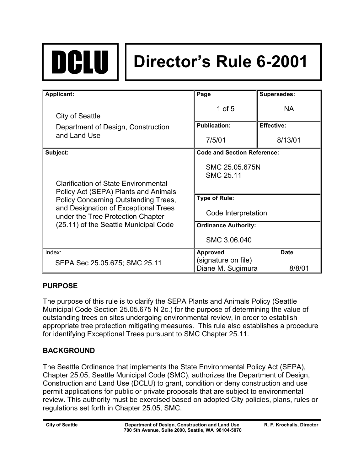

# DCLU **Director's Rule 6-2001**

| <b>Applicant:</b>                                                                                                                                                                                                                                 | Page                                     | <b>Supersedes:</b> |
|---------------------------------------------------------------------------------------------------------------------------------------------------------------------------------------------------------------------------------------------------|------------------------------------------|--------------------|
| City of Seattle                                                                                                                                                                                                                                   | 1 of $5$                                 | <b>NA</b>          |
| Department of Design, Construction                                                                                                                                                                                                                | <b>Publication:</b>                      | <b>Effective:</b>  |
| and Land Use                                                                                                                                                                                                                                      | 7/5/01                                   | 8/13/01            |
| Subject:                                                                                                                                                                                                                                          | <b>Code and Section Reference:</b>       |                    |
| <b>Clarification of State Environmental</b><br>Policy Act (SEPA) Plants and Animals<br>Policy Concerning Outstanding Trees,<br>and Designation of Exceptional Trees<br>under the Tree Protection Chapter<br>(25.11) of the Seattle Municipal Code | SMC 25.05.675N<br><b>SMC 25.11</b>       |                    |
|                                                                                                                                                                                                                                                   | <b>Type of Rule:</b>                     |                    |
|                                                                                                                                                                                                                                                   | Code Interpretation                      |                    |
|                                                                                                                                                                                                                                                   | <b>Ordinance Authority:</b>              |                    |
|                                                                                                                                                                                                                                                   | SMC 3.06.040                             |                    |
| Index:                                                                                                                                                                                                                                            | Approved                                 | <b>Date</b>        |
| SEPA Sec 25.05.675; SMC 25.11                                                                                                                                                                                                                     | (signature on file)<br>Diane M. Sugimura | 8/8/01             |

# **PURPOSE**

The purpose of this rule is to clarify the SEPA Plants and Animals Policy (Seattle Municipal Code Section 25.05.675 N 2c.) for the purpose of determining the value of outstanding trees on sites undergoing environmental review, in order to establish appropriate tree protection mitigating measures. This rule also establishes a procedure for identifying Exceptional Trees pursuant to SMC Chapter 25.11.

# **BACKGROUND**

The Seattle Ordinance that implements the State Environmental Policy Act (SEPA), Chapter 25.05, Seattle Municipal Code (SMC), authorizes the Department of Design, Construction and Land Use (DCLU) to grant, condition or deny construction and use permit applications for public or private proposals that are subject to environmental review. This authority must be exercised based on adopted City policies, plans, rules or regulations set forth in Chapter 25.05, SMC.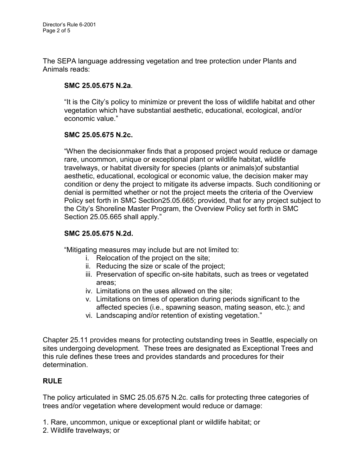The SEPA language addressing vegetation and tree protection under Plants and Animals reads:

## **SMC 25.05.675 N.2a***.*

"It is the City's policy to minimize or prevent the loss of wildlife habitat and other vegetation which have substantial aesthetic, educational, ecological, and/or economic value."

#### **SMC 25.05.675 N.2c.**

"When the decisionmaker finds that a proposed project would reduce or damage rare, uncommon, unique or exceptional plant or wildlife habitat, wildlife travelways, or habitat diversity for species (plants or animals)of substantial aesthetic, educational, ecological or economic value, the decision maker may condition or deny the project to mitigate its adverse impacts. Such conditioning or denial is permitted whether or not the project meets the criteria of the Overview Policy set forth in SMC Section25.05.665; provided, that for any project subject to the City's Shoreline Master Program, the Overview Policy set forth in SMC Section 25.05.665 shall apply."

#### **SMC 25.05.675 N.2d.**

"Mitigating measures may include but are not limited to:

- i. Relocation of the project on the site;
- ii. Reducing the size or scale of the project;
- iii. Preservation of specific on-site habitats, such as trees or vegetated areas;
- iv. Limitations on the uses allowed on the site;
- v. Limitations on times of operation during periods significant to the affected species (i.e., spawning season, mating season, etc.); and
- vi. Landscaping and/or retention of existing vegetation."

Chapter 25.11 provides means for protecting outstanding trees in Seattle, especially on sites undergoing development. These trees are designated as Exceptional Trees and this rule defines these trees and provides standards and procedures for their determination.

#### **RULE**

The policy articulated in SMC 25.05.675 N.2c. calls for protecting three categories of trees and/or vegetation where development would reduce or damage:

1. Rare, uncommon, unique or exceptional plant or wildlife habitat; or

2. Wildlife travelways; or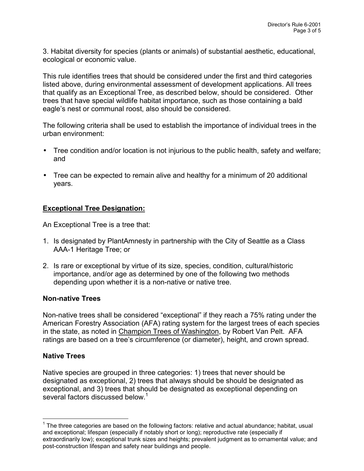3. Habitat diversity for species (plants or animals) of substantial aesthetic, educational, ecological or economic value.

This rule identifies trees that should be considered under the first and third categories listed above, during environmental assessment of development applications. All trees that qualify as an Exceptional Tree, as described below, should be considered. Other trees that have special wildlife habitat importance, such as those containing a bald eagle's nest or communal roost, also should be considered.

The following criteria shall be used to establish the importance of individual trees in the urban environment:

- Tree condition and/or location is not injurious to the public health, safety and welfare; and
- Tree can be expected to remain alive and healthy for a minimum of 20 additional years.

## **Exceptional Tree Designation:**

An Exceptional Tree is a tree that:

- 1. Is designated by PlantAmnesty in partnership with the City of Seattle as a Class AAA-1 Heritage Tree; or
- 2. Is rare or exceptional by virtue of its size, species, condition, cultural/historic importance, and/or age as determined by one of the following two methods depending upon whether it is a non-native or native tree.

#### **Non-native Trees**

Non-native trees shall be considered "exceptional" if they reach a 75% rating under the American Forestry Association (AFA) rating system for the largest trees of each species in the state, as noted in Champion Trees of Washington, by Robert Van Pelt. AFA ratings are based on a tree's circumference (or diameter), height, and crown spread.

#### **Native Trees**

 $\overline{a}$ 

Native species are grouped in three categories: 1) trees that never should be designated as exceptional, 2) trees that always should be should be designated as exceptional, and 3) trees that should be designated as exceptional depending on several factors discussed below.<sup>1</sup>

 $1$  The three categories are based on the following factors: relative and actual abundance; habitat, usual and exceptional; lifespan (especially if notably short or long); reproductive rate (especially if extraordinarily low); exceptional trunk sizes and heights; prevalent judgment as to ornamental value; and post-construction lifespan and safety near buildings and people.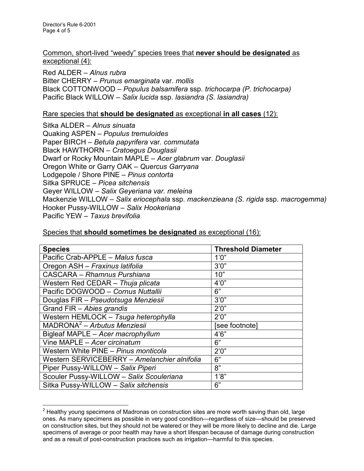Director's Rule 6-2001 Page 4 of 5

#### Common, short-lived "weedy" species trees that **never should be designated** as exceptional (4):

Red ALDER – *Alnus rubra* Bitter CHERRY – *Prunus emarginata* var. *mollis* Black COTTONWOOD – *Populus balsamifera* ssp. *trichocarpa (P. trichocarpa)* Pacific Black WILLOW – *Salix lucida* ssp. *lasiandra (S. lasiandra)*

#### Rare species that **should be designated** as exceptional **in all cases** (12):

Sitka ALDER – *Alnus sinuata* Quaking ASPEN – *Populus tremuloides* Paper BIRCH – *Betula papyrifera* var*. commutata* Black HAWTHORN – *Cratoegus Douglasii* Dwarf or Rocky Mountain MAPLE – *Acer glabrum* var. *Douglasii* Oregon White or Garry OAK – *Quercus Garryana* Lodgepole / Shore PINE – *Pinus contorta* Sitka SPRUCE – *Picea sitchensis* Geyer WILLOW – *Salix Geyeriana var. meleina* Mackenzie WILLOW – *Salix eriocephala* ssp*. mackenzieana (S. rigida* ssp. *macrogemma)* Hooker Pussy-WILLOW – *Salix Hookeriana* Pacific YEW – *Taxus brevifolia*

| opooloo indi <b>onouru oomoimico iyo ucorgnutcu</b> do oxoopiionur (107. |                           |  |
|--------------------------------------------------------------------------|---------------------------|--|
|                                                                          |                           |  |
| <b>Species</b>                                                           | <b>Threshold Diameter</b> |  |
| Pacific Crab-APPLE - Malus fusca                                         | 1'0''                     |  |
| Oregon ASH - Fraxinus latifolia                                          | 3'0''                     |  |
| <b>CASCARA - Rhamnus Purshiana</b>                                       | 10"                       |  |
| Western Red CEDAR - Thuja plicata                                        | 4'0''                     |  |
| Pacific DOGWOOD - Cornus Nuttallii                                       | 6"                        |  |
| Douglas FIR - Pseudotsuga Menziesii                                      | 3'0''                     |  |
| Grand FIR - Abies grandis                                                | 2'0''                     |  |
| Western HEMLOCK - Tsuga heterophylla                                     | 2'0''                     |  |
| MADRONA <sup>2</sup> - Arbutus Menziesii                                 | [see footnote]            |  |
| Bigleaf MAPLE - Acer macrophyllum                                        | 4'6''                     |  |
| Vine MAPLE - Acer circinatum                                             | 6"                        |  |
| Western White PINE - Pinus monticola                                     | 2'0''                     |  |
| Western SERVICEBERRY - Amelanchier alnifolia                             | 6"                        |  |

Species that **should sometimes be designated** as exceptional (16):

Piper Pussy-WILLOW – *Salix Piperi* 8" Scouler Pussy-WILLOW – *Salix Scouleriana* | 1'8" Sitka Pussy-WILLOW – *Salix sitchensis* 6"

 $\overline{a}$ 

 $^{2}$  Healthy young specimens of Madronas on construction sites are more worth saving than old, large ones. As many specimens as possible in very good condition—regardless of size—should be preserved on construction sites, but they should not be watered or they will be more likely to decline and die. Large specimens of average or poor health may have a short lifespan because of damage during construction and as a result of post-construction practices such as irrigation—harmful to this species.